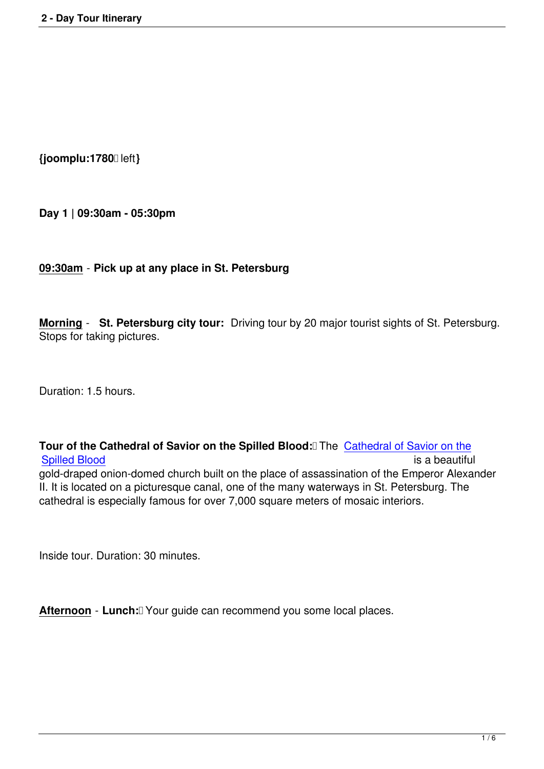**{joomplu:1780** left**}**

**Day 1 | 09:30am - 05:30pm**

#### **09:30am** - **Pick up at any place in St. Petersburg**

**Morning** - **St. Petersburg city tour:** Driving tour by 20 major tourist sights of St. Petersburg. Stops for taking pictures.

Duration: 1.5 hours.

**Tour of the Cathedral of Savior on the Spilled Blood:** The Cathedral of Savior on the Spilled Blood is a beautiful service of the service of the service of the service of the service of the service of the service of the service of the service of the service of the service of the service of the service of th gold-draped onion-domed church built on the place of assassination of the Emperor Alexander II. It is located on a picturesque canal, one of the many waterw[ays in St. Petersburg. The](entertainment/st-petersburg-attractions/79-church-on-spilled-blood.html) [cathedral is es](entertainment/st-petersburg-attractions/79-church-on-spilled-blood.html)pecially famous for over 7,000 square meters of mosaic interiors.

Inside tour. Duration: 30 minutes.

Afternoon - Lunch: <u>T</u>Your guide can recommend you some local places.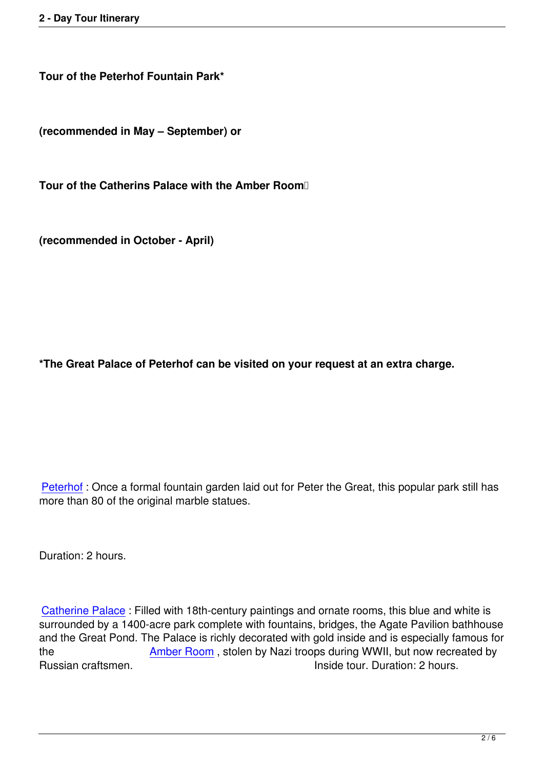**Tour of the Peterhof Fountain Park\***

**(recommended in May – September) or**

**Tour of the Catherins Palace with the Amber Room** 

**(recommended in October - April)**

**\*The Great Palace of Peterhof can be visited on your request at an extra charge.**

Peterhof : Once a formal fountain garden laid out for Peter the Great, this popular park still has more than 80 of the original marble statues.

Duration: 2 hours.

Catherine Palace : Filled with 18th-century paintings and ornate rooms, this blue and white is surrounded by a 1400-acre park complete with fountains, bridges, the Agate Pavilion bathhouse and the Great Pond. The Palace is richly decorated with gold inside and is especially famous for [the](entertainment/st-petersburg-attractions/584-catherine-palace.html) **Amber Room**, stolen by Nazi troops during WWII, but now recreated by Russian craftsmen. The state of the lines of the lines of the lines of the lines and lines are lines and lines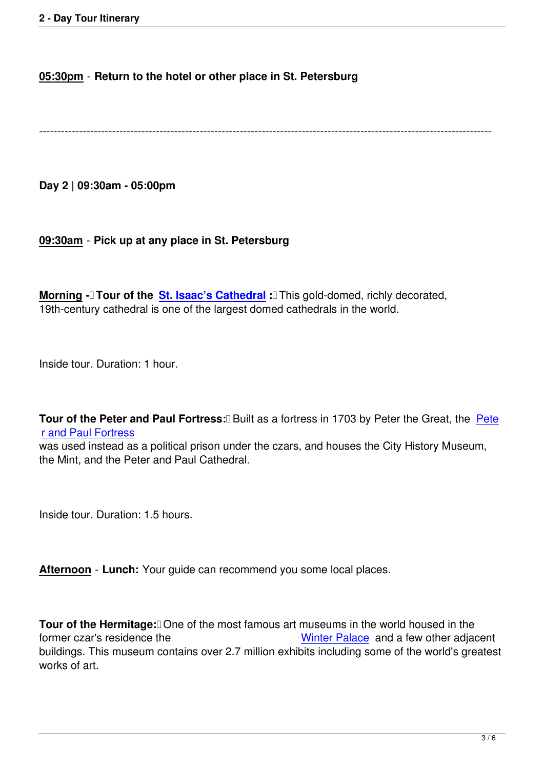----------------------------------------------------------------------------------------------------------------------------

**Day 2 | 09:30am - 05:00pm**

#### **09:30am** - **Pick up at any place in St. Petersburg**

**Morning - Tour of the St. Isaac's Cathedral : This gold-domed, richly decorated,** 19th-century cathedral is one of the largest domed cathedrals in the world.

Inside tour. Duration: 1 hour.

**Tour of the Peter and Paul Fortress: <b>Built** as a fortress in 1703 by Peter the Great, the Pete r and Paul Fortress

was used instead as a political prison under the czars, and houses the City History Museum, the Mint, and the Peter and Paul Cathedral.

Inside tour. Duration: 1.5 hours.

**Afternoon** - **Lunch:** Your guide can recommend you some local places.

**Tour of the Hermitage:** One of the most famous art museums in the world housed in the former czar's residence the Winter Palace and a few other adjacent buildings. This museum contains over 2.7 million exhibits including some of the world's greatest works of art.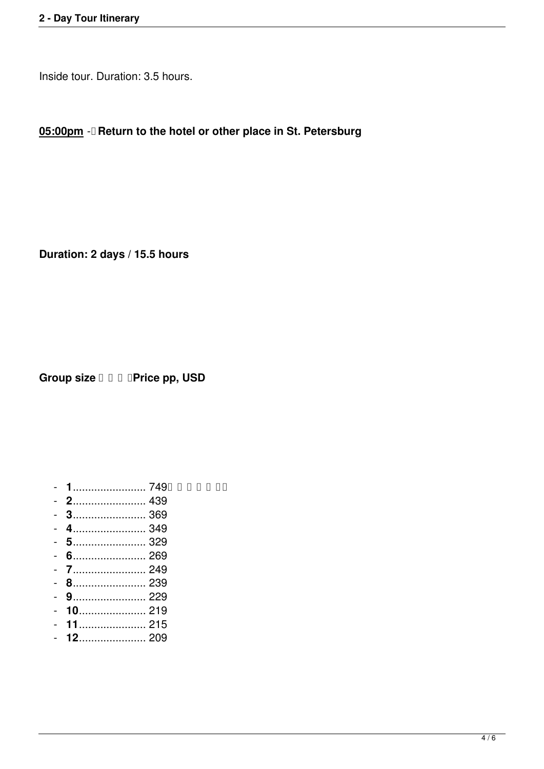Inside tour. Duration: 3.5 hours.

**05:00pm** - **Return to the hotel or other place in St. Petersburg**

**Duration: 2 days / 15.5 hours**

**Group size**  $\Box$  $\Box$  $\Box$  **Price pp, USD** 

- **1**........................ 749
- **2**........................ 439
- **3**........................ 369
- **4**........................ 349
- **5**........................ 329
- **6**........................ 269
- **7**........................ 249
- **8**........................ 239
- **9**........................ 229
- **10**...................... 219
- **11**...................... 215
- **12**...................... 209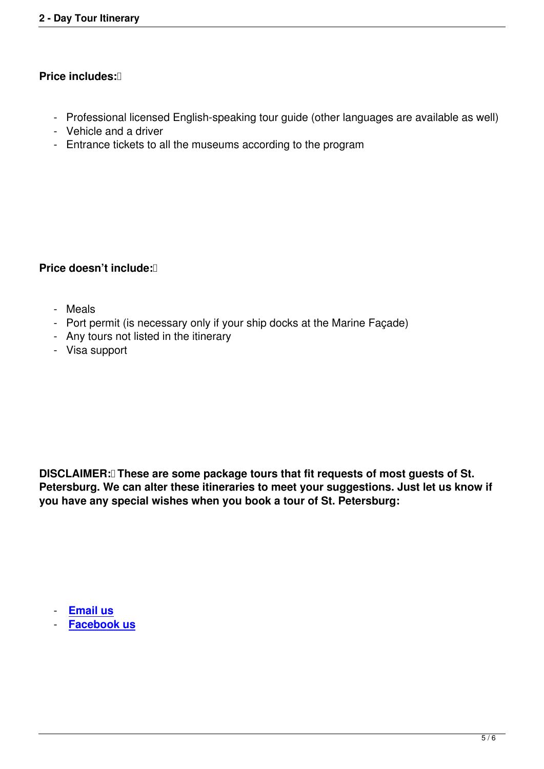### **Price includes: D**

- Professional licensed English-speaking tour guide (other languages are available as well)
- Vehicle and a driver
- Entrance tickets to all the museums according to the program

#### **Price doesn't include:**

- Meals
- Port permit (is necessary only if your ship docks at the Marine Façade)
- Any tours not listed in the itinerary
- Visa support

**DISCLAIMER: These are some package tours that fit requests of most guests of St. Petersburg. We can alter these itineraries to meet your suggestions. Just let us know if you have any special wishes when you book a tour of St. Petersburg:**

- **Email us**

- **Facebook us**